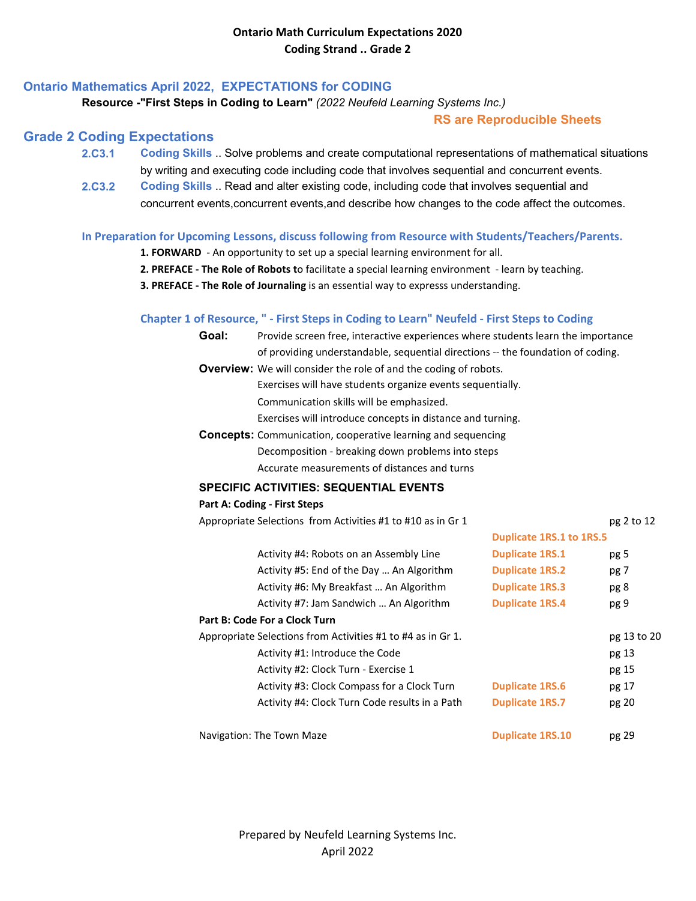## **Ontario Mathematics April 2022, EXPECTATIONS for CODING**

### **Resource -"First Steps in Coding to Learn"** *(2022 Neufeld Learning Systems Inc.)*

### **RS are Reproducible Sheets**

## **Grade 2 Coding Expectations**

- **2.C3.1 Coding Skills** .. Solve problems and create computational representations of mathematical situations by writing and executing code including code that involves sequential and concurrent events.
- **2.C3.2 [Coding Skills](https://www.dcp.edu.gov.on.ca/en/)** [.. Read and alter existing code, including code that involves sequential and](https://www.dcp.edu.gov.on.ca/en/)  concurrent events,concurrent events,and describe how changes to the code affect the outcomes.

#### **In Preparation for Upcoming Lessons, discuss following from Resource with Students/Teachers/Parents.**

- **1. FORWARD** An opportunity to set up a special learning environment for all.
- **2. PREFACE The Role of Robots t**o facilitate a special learning environment learn by teaching.
- **3. PREFACE The Role of Journaling** is an essential way to expresss understanding.

#### **Chapter 1 of Resource, " - First Steps in Coding to Learn" Neufeld - First Steps to Coding**

| Goal:                                                               | Provide screen free, interactive experiences where students learn the importance |                                 |                 |  |  |
|---------------------------------------------------------------------|----------------------------------------------------------------------------------|---------------------------------|-----------------|--|--|
|                                                                     | of providing understandable, sequential directions -- the foundation of coding.  |                                 |                 |  |  |
|                                                                     | <b>Overview:</b> We will consider the role of and the coding of robots.          |                                 |                 |  |  |
|                                                                     | Exercises will have students organize events sequentially.                       |                                 |                 |  |  |
|                                                                     | Communication skills will be emphasized.                                         |                                 |                 |  |  |
|                                                                     | Exercises will introduce concepts in distance and turning.                       |                                 |                 |  |  |
| <b>Concepts:</b> Communication, cooperative learning and sequencing |                                                                                  |                                 |                 |  |  |
|                                                                     | Decomposition - breaking down problems into steps                                |                                 |                 |  |  |
| Accurate measurements of distances and turns                        |                                                                                  |                                 |                 |  |  |
|                                                                     | <b>SPECIFIC ACTIVITIES: SEQUENTIAL EVENTS</b>                                    |                                 |                 |  |  |
|                                                                     | <b>Part A: Coding - First Steps</b>                                              |                                 |                 |  |  |
|                                                                     | Appropriate Selections from Activities #1 to #10 as in Gr 1                      |                                 | pg 2 to 12      |  |  |
|                                                                     |                                                                                  | <b>Duplicate 1RS.1 to 1RS.5</b> |                 |  |  |
|                                                                     | Activity #4: Robots on an Assembly Line                                          | <b>Duplicate 1RS.1</b>          | pg <sub>5</sub> |  |  |
|                                                                     | Activity #5: End of the Day  An Algorithm                                        | <b>Duplicate 1RS.2</b>          | pg 7            |  |  |
|                                                                     | Activity #6: My Breakfast  An Algorithm                                          | <b>Duplicate 1RS.3</b>          | pg 8            |  |  |
|                                                                     | Activity #7: Jam Sandwich  An Algorithm                                          | <b>Duplicate 1RS.4</b>          | pg 9            |  |  |
|                                                                     | Part B: Code For a Clock Turn                                                    |                                 |                 |  |  |
| Appropriate Selections from Activities #1 to #4 as in Gr 1.         |                                                                                  |                                 | pg 13 to 20     |  |  |
|                                                                     | Activity #1: Introduce the Code                                                  |                                 | pg 13           |  |  |
|                                                                     | Activity #2: Clock Turn - Exercise 1                                             |                                 | pg 15           |  |  |
|                                                                     | Activity #3: Clock Compass for a Clock Turn                                      | <b>Duplicate 1RS.6</b>          | pg 17           |  |  |
|                                                                     | Activity #4: Clock Turn Code results in a Path                                   | <b>Duplicate 1RS.7</b>          | pg 20           |  |  |
|                                                                     | Navigation: The Town Maze                                                        | <b>Duplicate 1RS.10</b>         | pg 29           |  |  |